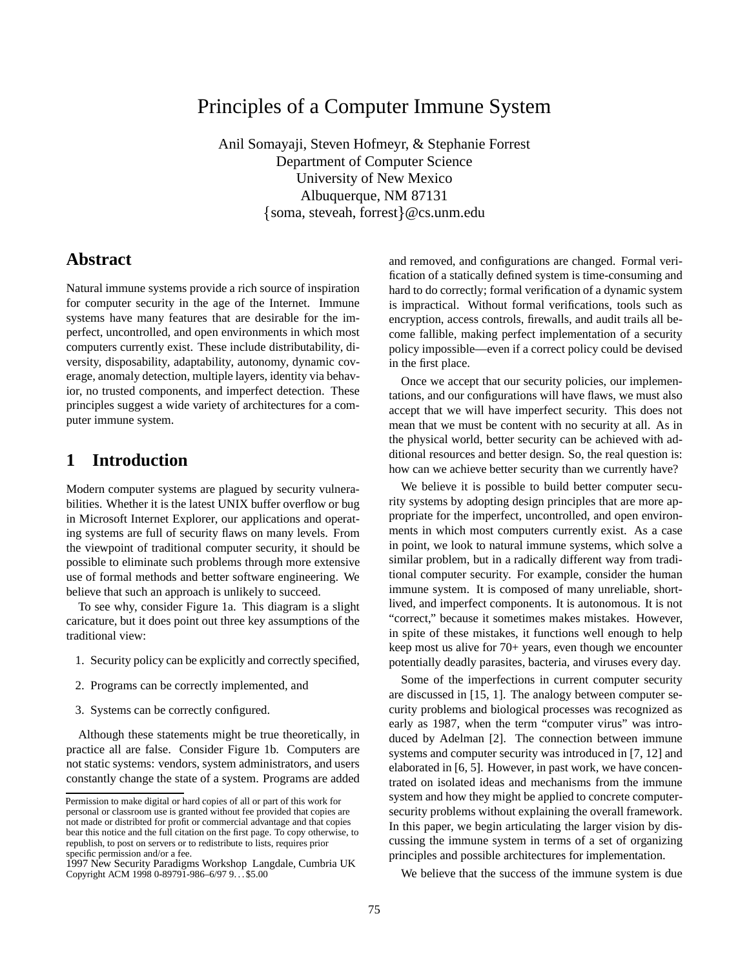# Principles of a Computer Immune System

Anil Somayaji, Steven Hofmeyr, & Stephanie Forrest Department of Computer Science University of New Mexico Albuquerque, NM 87131  $\{$  soma, steveah, forrest $\}$ @cs.unm.edu

### **Abstract**

Natural immune systems provide a rich source of inspiration for computer security in the age of the Internet. Immune systems have many features that are desirable for the imperfect, uncontrolled, and open environments in which most computers currently exist. These include distributability, diversity, disposability, adaptability, autonomy, dynamic coverage, anomaly detection, multiple layers, identity via behavior, no trusted components, and imperfect detection. These principles suggest a wide variety of architectures for a computer immune system.

## **1 Introduction**

Modern computer systems are plagued by security vulnerabilities. Whether it is the latest UNIX buffer overflow or bug in Microsoft Internet Explorer, our applications and operating systems are full of security flaws on many levels. From the viewpoint of traditional computer security, it should be possible to eliminate such problems through more extensive use of formal methods and better software engineering. We believe that such an approach is unlikely to succeed.

To see why, consider Figure 1a. This diagram is a slight caricature, but it does point out three key assumptions of the traditional view:

- 1. Security policy can be explicitly and correctly specified,
- 2. Programs can be correctly implemented, and
- 3. Systems can be correctly configured.

Although these statements might be true theoretically, in practice all are false. Consider Figure 1b. Computers are not static systems: vendors, system administrators, and users constantly change the state of a system. Programs are added and removed, and configurations are changed. Formal verification of a statically defined system is time-consuming and hard to do correctly; formal verification of a dynamic system is impractical. Without formal verifications, tools such as encryption, access controls, firewalls, and audit trails all become fallible, making perfect implementation of a security policy impossible—even if a correct policy could be devised in the first place.

Once we accept that our security policies, our implementations, and our configurations will have flaws, we must also accept that we will have imperfect security. This does not mean that we must be content with no security at all. As in the physical world, better security can be achieved with additional resources and better design. So, the real question is: how can we achieve better security than we currently have?

We believe it is possible to build better computer security systems by adopting design principles that are more appropriate for the imperfect, uncontrolled, and open environments in which most computers currently exist. As a case in point, we look to natural immune systems, which solve a similar problem, but in a radically different way from traditional computer security. For example, consider the human immune system. It is composed of many unreliable, shortlived, and imperfect components. It is autonomous. It is not "correct," because it sometimes makes mistakes. However, in spite of these mistakes, it functions well enough to help keep most us alive for 70+ years, even though we encounter potentially deadly parasites, bacteria, and viruses every day.

Some of the imperfections in current computer security are discussed in [15, 1]. The analogy between computer security problems and biological processes was recognized as early as 1987, when the term "computer virus" was introduced by Adelman [2]. The connection between immune systems and computer security was introduced in [7, 12] and elaborated in [6, 5]. However, in past work, we have concentrated on isolated ideas and mechanisms from the immune system and how they might be applied to concrete computersecurity problems without explaining the overall framework. In this paper, we begin articulating the larger vision by discussing the immune system in terms of a set of organizing principles and possible architectures for implementation.

We believe that the success of the immune system is due

Permission to make digital or hard copies of all or part of this work for personal or classroom use is granted without fee provided that copies are not made or distribted for profit or commercial advantage and that copies bear this notice and the full citation on the first page. To copy otherwise, to republish, to post on servers or to redistribute to lists, requires prior

specific permission and/or a fee. 1997 New Security Paradigms Workshop Langdale, Cumbria UK Copyright ACM 1998 0-89791-986-6/97 9. . \$5.00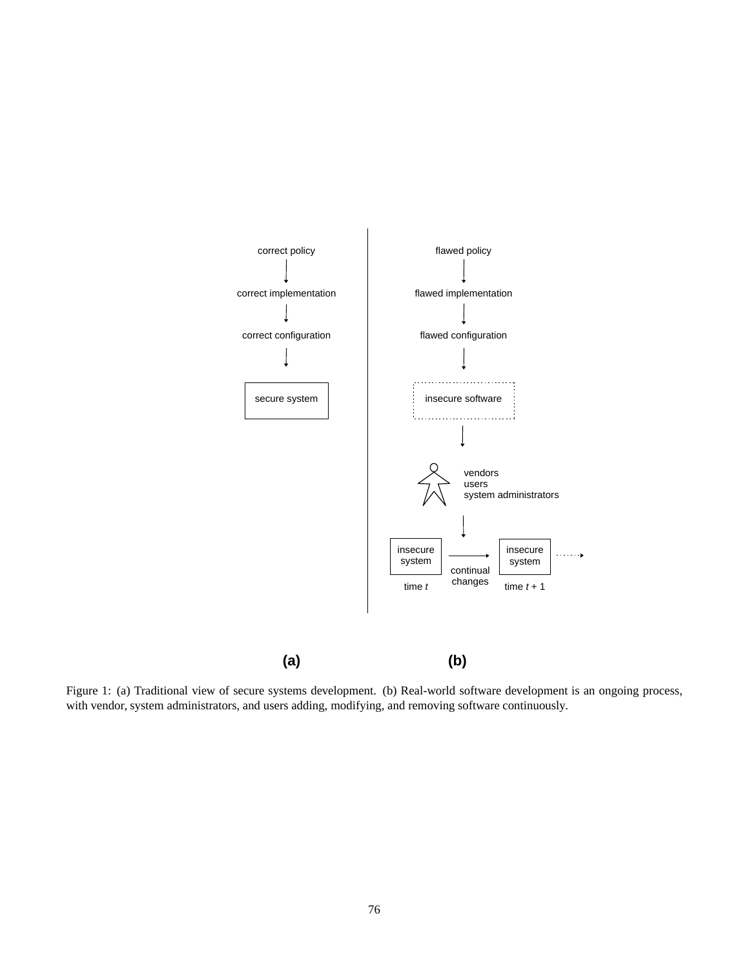

Figure 1: (a) Traditional view of secure systems development. (b) Real-world software development is an ongoing process, with vendor, system administrators, and users adding, modifying, and removing software continuously.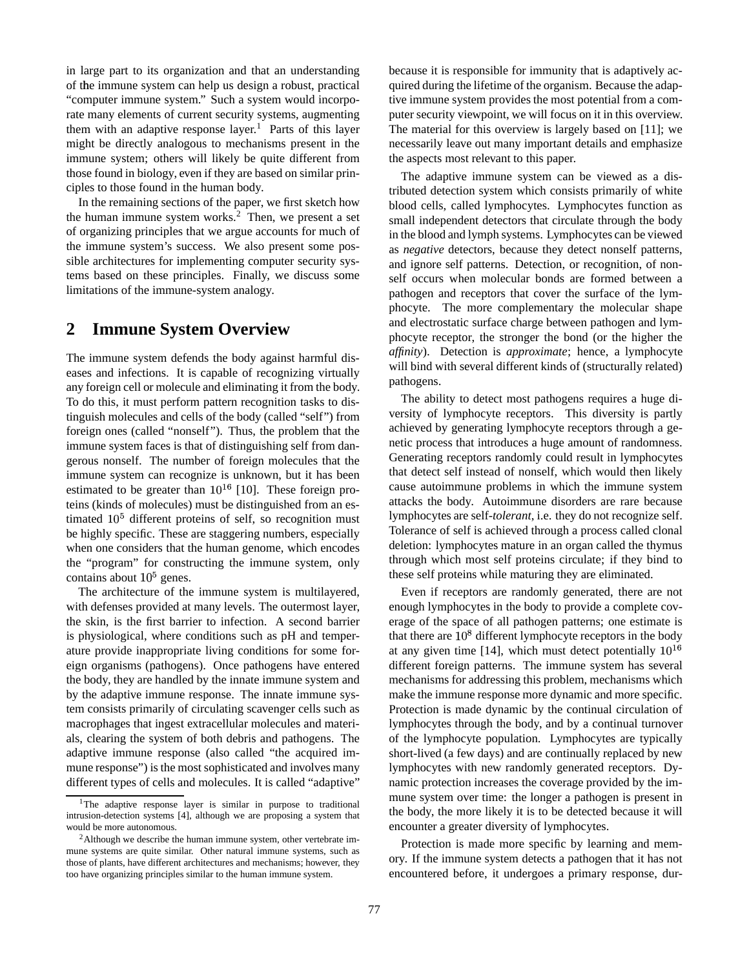in large part to its organization and that an understanding of the immune system can help us design a robust, practical "computer immune system." Such a system would incorporate many elements of current security systems, augmenting them with an adaptive response layer. <sup>1</sup> Parts of this layer might be directly analogous to mechanisms present in the immune system; others will likely be quite different from those found in biology, even if they are based on similar principles to those found in the human body.

In the remaining sections of the paper, we first sketch how the human immune system works. $<sup>2</sup>$  Then, we present a set</sup> of organizing principles that we argue accounts for much of the immune system's success. We also present some possible architectures for implementing computer security systems based on these principles. Finally, we discuss some limitations of the immune-system analogy.

### **2 Immune System Overview**

The immune system defends the body against harmful diseases and infections. It is capable of recognizing virtually any foreign cell or molecule and eliminating it from the body. To do this, it must perform pattern recognition tasks to distinguish molecules and cells of the body (called "self") from foreign ones (called "nonself"). Thus, the problem that the immune system faces is that of distinguishing self from dangerous nonself. The number of foreign molecules that the immune system can recognize is unknown, but it has been estimated to be greater than  $10^{16}$  [10]. These foreign proteins (kinds of molecules) must be distinguished from an estimated  $10<sup>5</sup>$  different proteins of self, so recognition must be highly specific. These are staggering numbers, especially when one considers that the human genome, which encodes the "program" for constructing the immune system, only contains about  $10<sup>5</sup>$  genes.

The architecture of the immune system is multilayered, with defenses provided at many levels. The outermost layer, the skin, is the first barrier to infection. A second barrier is physiological, where conditions such as pH and temperature provide inappropriate living conditions for some foreign organisms (pathogens). Once pathogens have entered the body, they are handled by the innate immune system and by the adaptive immune response. The innate immune system consists primarily of circulating scavenger cells such as macrophages that ingest extracellular molecules and materials, clearing the system of both debris and pathogens. The adaptive immune response (also called "the acquired immune response") is the most sophisticated and involves many different types of cells and molecules. It is called "adaptive"

because it is responsible for immunity that is adaptively acquired during the lifetime of the organism. Because the adaptive immune system provides the most potential from a computer security viewpoint, we will focus on it in this overview. The material for this overview is largely based on [11]; we necessarily leave out many important details and emphasize the aspects most relevant to this paper.

The adaptive immune system can be viewed as a distributed detection system which consists primarily of white blood cells, called lymphocytes. Lymphocytes function as small independent detectors that circulate through the body in the blood and lymph systems. Lymphocytes can be viewed as *negative* detectors, because they detect nonself patterns, and ignore self patterns. Detection, or recognition, of nonself occurs when molecular bonds are formed between a pathogen and receptors that cover the surface of the lymphocyte. The more complementary the molecular shape and electrostatic surface charge between pathogen and lymphocyte receptor, the stronger the bond (or the higher the *affinity*). Detection is *approximate*; hence, a lymphocyte will bind with several different kinds of (structurally related) pathogens.

The ability to detect most pathogens requires a huge diversity of lymphocyte receptors. This diversity is partly achieved by generating lymphocyte receptors through a genetic process that introduces a huge amount of randomness. Generating receptors randomly could result in lymphocytes that detect self instead of nonself, which would then likely cause autoimmune problems in which the immune system attacks the body. Autoimmune disorders are rare because lymphocytes are self-*tolerant*, i.e. they do not recognize self. Tolerance of self is achieved through a process called clonal deletion: lymphocytes mature in an organ called the thymus through which most self proteins circulate; if they bind to these self proteins while maturing they are eliminated.

Even if receptors are randomly generated, there are not enough lymphocytes in the body to provide a complete coverage of the space of all pathogen patterns; one estimate is that there are  $10^8$  different lymphocyte receptors in the body at any given time [14], which must detect potentially  $10^{16}$ different foreign patterns. The immune system has several mechanisms for addressing this problem, mechanisms which make the immune response more dynamic and more specific. Protection is made dynamic by the continual circulation of lymphocytes through the body, and by a continual turnover of the lymphocyte population. Lymphocytes are typically short-lived (a few days) and are continually replaced by new lymphocytes with new randomly generated receptors. Dynamic protection increases the coverage provided by the immune system over time: the longer a pathogen is present in the body, the more likely it is to be detected because it will encounter a greater diversity of lymphocytes.

Protection is made more specific by learning and memory. If the immune system detects a pathogen that it has not encountered before, it undergoes a primary response, dur-

<sup>&</sup>lt;sup>1</sup>The adaptive response layer is similar in purpose to traditional intrusion-detection systems [4], although we are proposing a system that would be more autonomous.

<sup>2</sup>Although we describe the human immune system, other vertebrate immune systems are quite similar. Other natural immune systems, such as those of plants, have different architectures and mechanisms; however, they too have organizing principles similar to the human immune system.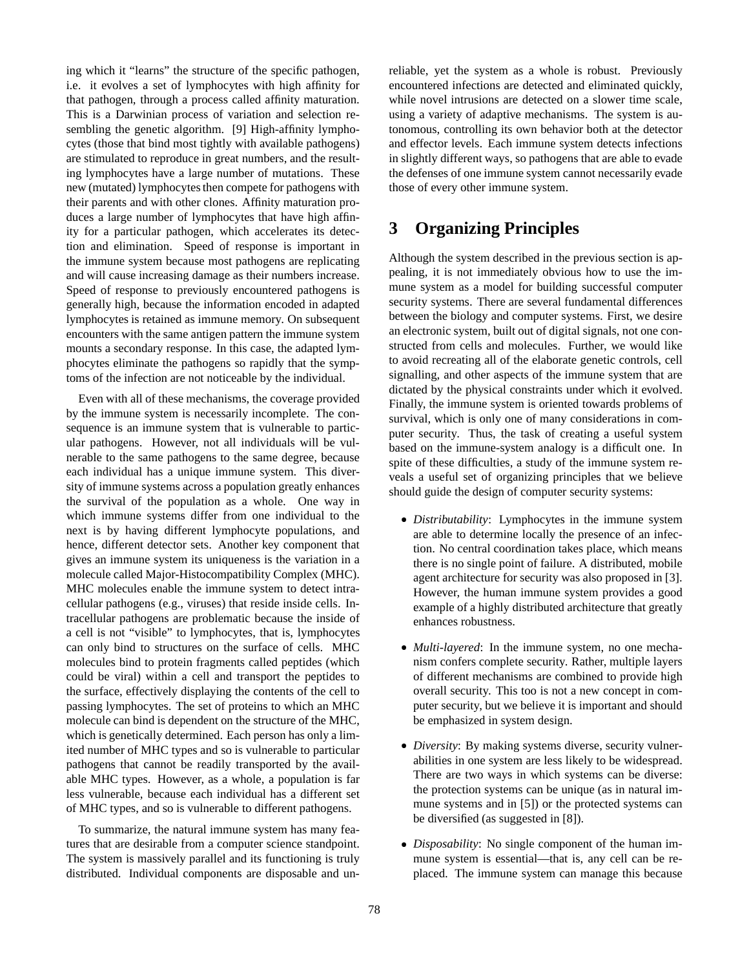ing which it "learns" the structure of the specific pathogen, i.e. it evolves a set of lymphocytes with high affinity for that pathogen, through a process called affinity maturation. This is a Darwinian process of variation and selection resembling the genetic algorithm. [9] High-affinity lymphocytes (those that bind most tightly with available pathogens) are stimulated to reproduce in great numbers, and the resulting lymphocytes have a large number of mutations. These new (mutated) lymphocytes then compete for pathogens with their parents and with other clones. Affinity maturation produces a large number of lymphocytes that have high affinity for a particular pathogen, which accelerates its detection and elimination. Speed of response is important in the immune system because most pathogens are replicating and will cause increasing damage as their numbers increase. Speed of response to previously encountered pathogens is generally high, because the information encoded in adapted lymphocytes is retained as immune memory. On subsequent encounters with the same antigen pattern the immune system mounts a secondary response. In this case, the adapted lymphocytes eliminate the pathogens so rapidly that the symptoms of the infection are not noticeable by the individual.

Even with all of these mechanisms, the coverage provided by the immune system is necessarily incomplete. The consequence is an immune system that is vulnerable to particular pathogens. However, not all individuals will be vulnerable to the same pathogens to the same degree, because each individual has a unique immune system. This diversity of immune systems across a population greatly enhances the survival of the population as a whole. One way in which immune systems differ from one individual to the next is by having different lymphocyte populations, and hence, different detector sets. Another key component that gives an immune system its uniqueness is the variation in a molecule called Major-Histocompatibility Complex (MHC). MHC molecules enable the immune system to detect intracellular pathogens (e.g., viruses) that reside inside cells. Intracellular pathogens are problematic because the inside of a cell is not "visible" to lymphocytes, that is, lymphocytes can only bind to structures on the surface of cells. MHC molecules bind to protein fragments called peptides (which could be viral) within a cell and transport the peptides to the surface, effectively displaying the contents of the cell to passing lymphocytes. The set of proteins to which an MHC molecule can bind is dependent on the structure of the MHC, which is genetically determined. Each person has only a limited number of MHC types and so is vulnerable to particular pathogens that cannot be readily transported by the available MHC types. However, as a whole, a population is far less vulnerable, because each individual has a different set of MHC types, and so is vulnerable to different pathogens.

To summarize, the natural immune system has many features that are desirable from a computer science standpoint. The system is massively parallel and its functioning is truly distributed. Individual components are disposable and un-

reliable, yet the system as a whole is robust. Previously encountered infections are detected and eliminated quickly, while novel intrusions are detected on a slower time scale, using a variety of adaptive mechanisms. The system is autonomous, controlling its own behavior both at the detector and effector levels. Each immune system detects infections in slightly different ways, so pathogens that are able to evade the defenses of one immune system cannot necessarily evade those of every other immune system.

# **3 Organizing Principles**

Although the system described in the previous section is appealing, it is not immediately obvious how to use the immune system as a model for building successful computer security systems. There are several fundamental differences between the biology and computer systems. First, we desire an electronic system, built out of digital signals, not one constructed from cells and molecules. Further, we would like to avoid recreating all of the elaborate genetic controls, cell signalling, and other aspects of the immune system that are dictated by the physical constraints under which it evolved. Finally, the immune system is oriented towards problems of survival, which is only one of many considerations in computer security. Thus, the task of creating a useful system based on the immune-system analogy is a difficult one. In spite of these difficulties, a study of the immune system reveals a useful set of organizing principles that we believe should guide the design of computer security systems:

- *Distributability*: Lymphocytes in the immune system are able to determine locally the presence of an infection. No central coordination takes place, which means there is no single point of failure. A distributed, mobile agent architecture for security was also proposed in [3]. However, the human immune system provides a good example of a highly distributed architecture that greatly enhances robustness.
- *Multi-layered*: In the immune system, no one mechanism confers complete security. Rather, multiple layers of different mechanisms are combined to provide high overall security. This too is not a new concept in computer security, but we believe it is important and should be emphasized in system design.
- *Diversity*: By making systems diverse, security vulnerabilities in one system are less likely to be widespread. There are two ways in which systems can be diverse: the protection systems can be unique (as in natural immune systems and in [5]) or the protected systems can be diversified (as suggested in [8]).
- *Disposability*: No single component of the human immune system is essential—that is, any cell can be replaced. The immune system can manage this because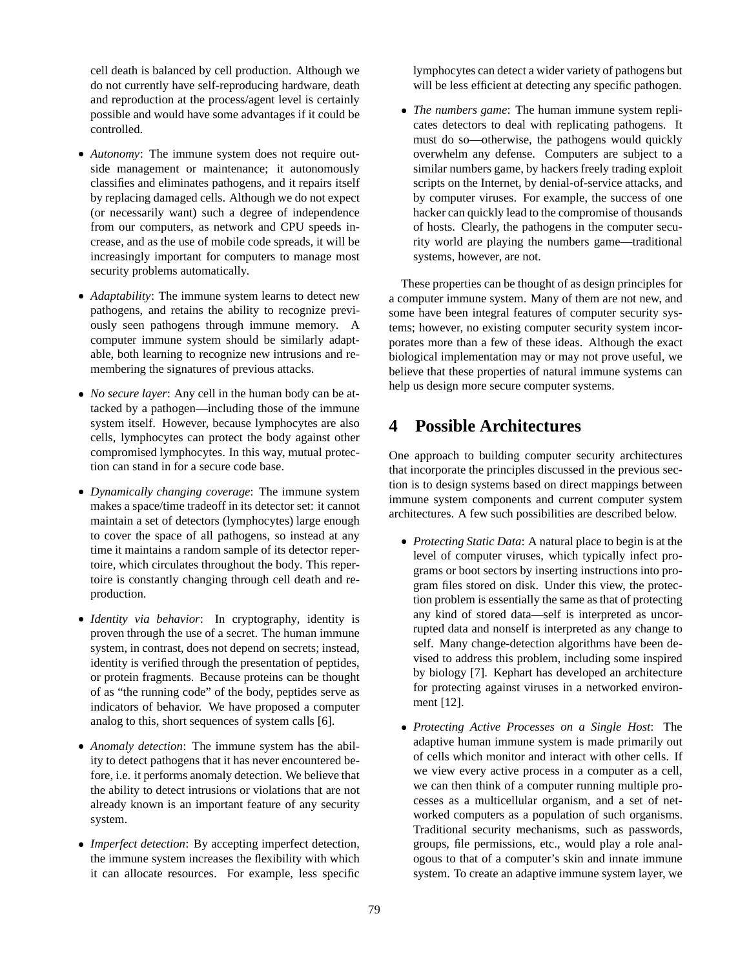cell death is balanced by cell production. Although we do not currently have self-reproducing hardware, death and reproduction at the process/agent level is certainly possible and would have some advantages if it could be controlled.

- *Autonomy*: The immune system does not require outside management or maintenance; it autonomously classifies and eliminates pathogens, and it repairs itself by replacing damaged cells. Although we do not expect (or necessarily want) such a degree of independence from our computers, as network and CPU speeds increase, and as the use of mobile code spreads, it will be increasingly important for computers to manage most security problems automatically.
- *Adaptability*: The immune system learns to detect new pathogens, and retains the ability to recognize previously seen pathogens through immune memory. A computer immune system should be similarly adaptable, both learning to recognize new intrusions and remembering the signatures of previous attacks.
- *No secure layer*: Any cell in the human body can be attacked by a pathogen—including those of the immune system itself. However, because lymphocytes are also cells, lymphocytes can protect the body against other compromised lymphocytes. In this way, mutual protection can stand in for a secure code base.
- *Dynamically changing coverage*: The immune system makes a space/time tradeoff in its detector set: it cannot maintain a set of detectors (lymphocytes) large enough to cover the space of all pathogens, so instead at any time it maintains a random sample of its detector repertoire, which circulates throughout the body. This repertoire is constantly changing through cell death and reproduction.
- *Identity via behavior*: In cryptography, identity is proven through the use of a secret. The human immune system, in contrast, does not depend on secrets; instead, identity is verified through the presentation of peptides, or protein fragments. Because proteins can be thought of as "the running code" of the body, peptides serve as indicators of behavior. We have proposed a computer analog to this, short sequences of system calls [6].
- *Anomaly detection*: The immune system has the ability to detect pathogens that it has never encountered before, i.e. it performs anomaly detection. We believe that the ability to detect intrusions or violations that are not already known is an important feature of any security system.
- *Imperfect detection*: By accepting imperfect detection, the immune system increases the flexibility with which it can allocate resources. For example, less specific

lymphocytes can detect a wider variety of pathogens but will be less efficient at detecting any specific pathogen.

 *The numbers game*: The human immune system replicates detectors to deal with replicating pathogens. It must do so—otherwise, the pathogens would quickly overwhelm any defense. Computers are subject to a similar numbers game, by hackers freely trading exploit scripts on the Internet, by denial-of-service attacks, and by computer viruses. For example, the success of one hacker can quickly lead to the compromise of thousands of hosts. Clearly, the pathogens in the computer security world are playing the numbers game—traditional systems, however, are not.

These properties can be thought of as design principles for a computer immune system. Many of them are not new, and some have been integral features of computer security systems; however, no existing computer security system incorporates more than a few of these ideas. Although the exact biological implementation may or may not prove useful, we believe that these properties of natural immune systems can help us design more secure computer systems.

# **4 Possible Architectures**

One approach to building computer security architectures that incorporate the principles discussed in the previous section is to design systems based on direct mappings between immune system components and current computer system architectures. A few such possibilities are described below.

- *Protecting Static Data*: A natural place to begin is at the level of computer viruses, which typically infect programs or boot sectors by inserting instructions into program files stored on disk. Under this view, the protection problem is essentially the same as that of protecting any kind of stored data—self is interpreted as uncorrupted data and nonself is interpreted as any change to self. Many change-detection algorithms have been devised to address this problem, including some inspired by biology [7]. Kephart has developed an architecture for protecting against viruses in a networked environment [12].
- *Protecting Active Processes on a Single Host*: The adaptive human immune system is made primarily out of cells which monitor and interact with other cells. If we view every active process in a computer as a cell, we can then think of a computer running multiple processes as a multicellular organism, and a set of networked computers as a population of such organisms. Traditional security mechanisms, such as passwords, groups, file permissions, etc., would play a role analogous to that of a computer's skin and innate immune system. To create an adaptive immune system layer, we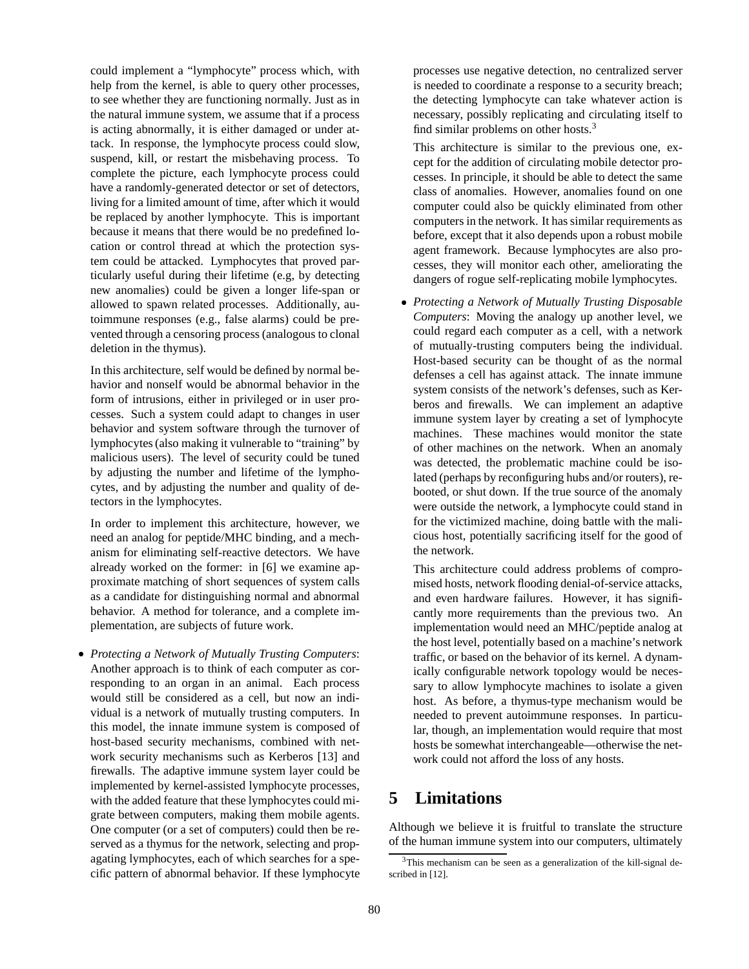could implement a "lymphocyte" process which, with help from the kernel, is able to query other processes, to see whether they are functioning normally. Just as in the natural immune system, we assume that if a process is acting abnormally, it is either damaged or under attack. In response, the lymphocyte process could slow, suspend, kill, or restart the misbehaving process. To complete the picture, each lymphocyte process could have a randomly-generated detector or set of detectors, living for a limited amount of time, after which it would be replaced by another lymphocyte. This is important because it means that there would be no predefined location or control thread at which the protection system could be attacked. Lymphocytes that proved particularly useful during their lifetime (e.g, by detecting new anomalies) could be given a longer life-span or allowed to spawn related processes. Additionally, autoimmune responses (e.g., false alarms) could be prevented through a censoring process(analogous to clonal deletion in the thymus).

In this architecture, self would be defined by normal behavior and nonself would be abnormal behavior in the form of intrusions, either in privileged or in user processes. Such a system could adapt to changes in user behavior and system software through the turnover of lymphocytes(also making it vulnerable to "training" by malicious users). The level of security could be tuned by adjusting the number and lifetime of the lymphocytes, and by adjusting the number and quality of detectors in the lymphocytes.

In order to implement this architecture, however, we need an analog for peptide/MHC binding, and a mechanism for eliminating self-reactive detectors. We have already worked on the former: in [6] we examine approximate matching of short sequences of system calls as a candidate for distinguishing normal and abnormal behavior. A method for tolerance, and a complete implementation, are subjects of future work.

 *Protecting a Network of Mutually Trusting Computers*: Another approach is to think of each computer as corresponding to an organ in an animal. Each process would still be considered as a cell, but now an individual is a network of mutually trusting computers. In this model, the innate immune system is composed of host-based security mechanisms, combined with network security mechanisms such as Kerberos [13] and firewalls. The adaptive immune system layer could be implemented by kernel-assisted lymphocyte processes, with the added feature that these lymphocytes could migrate between computers, making them mobile agents. One computer (or a set of computers) could then be reserved as a thymus for the network, selecting and propagating lymphocytes, each of which searches for a specific pattern of abnormal behavior. If these lymphocyte

processes use negative detection, no centralized server is needed to coordinate a response to a security breach; the detecting lymphocyte can take whatever action is necessary, possibly replicating and circulating itself to find similar problems on other hosts.<sup>3</sup>

This architecture is similar to the previous one, except for the addition of circulating mobile detector processes. In principle, it should be able to detect the same class of anomalies. However, anomalies found on one computer could also be quickly eliminated from other computers in the network. It has similar requirements as before, except that it also depends upon a robust mobile agent framework. Because lymphocytes are also processes, they will monitor each other, ameliorating the dangers of rogue self-replicating mobile lymphocytes.

 *Protecting a Network of Mutually Trusting Disposable Computers*: Moving the analogy up another level, we could regard each computer as a cell, with a network of mutually-trusting computers being the individual. Host-based security can be thought of as the normal defenses a cell has against attack. The innate immune system consists of the network's defenses, such as Kerberos and firewalls. We can implement an adaptive immune system layer by creating a set of lymphocyte machines. These machines would monitor the state of other machines on the network. When an anomaly was detected, the problematic machine could be isolated (perhaps by reconfiguring hubs and/or routers), rebooted, or shut down. If the true source of the anomaly were outside the network, a lymphocyte could stand in for the victimized machine, doing battle with the malicious host, potentially sacrificing itself for the good of the network.

This architecture could address problems of compromised hosts, network flooding denial-of-service attacks, and even hardware failures. However, it has significantly more requirements than the previous two. An implementation would need an MHC/peptide analog at the host level, potentially based on a machine's network traffic, or based on the behavior of its kernel. A dynamically configurable network topology would be necessary to allow lymphocyte machines to isolate a given host. As before, a thymus-type mechanism would be needed to prevent autoimmune responses. In particular, though, an implementation would require that most hosts be somewhat interchangeable—otherwise the network could not afford the loss of any hosts.

### **5 Limitations**

Although we believe it is fruitful to translate the structure of the human immune system into our computers, ultimately

<sup>&</sup>lt;sup>3</sup>This mechanism can be seen as a generalization of the kill-signal described in [12].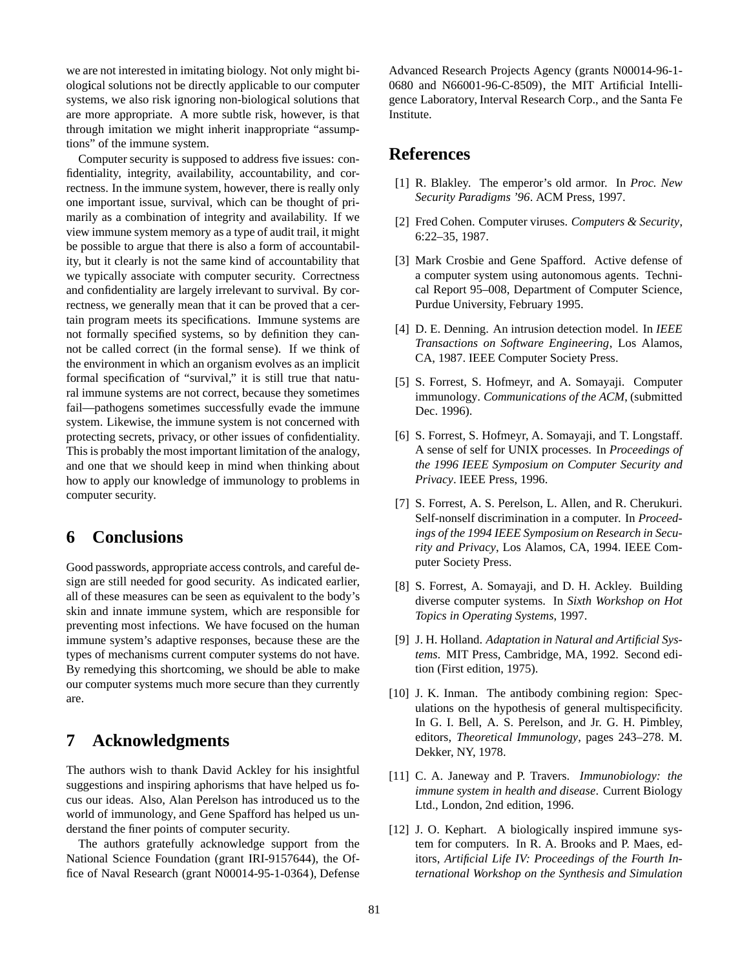we are not interested in imitating biology. Not only might biological solutions not be directly applicable to our computer systems, we also risk ignoring non-biological solutions that are more appropriate. A more subtle risk, however, is that through imitation we might inherit inappropriate "assumptions" of the immune system.

Computer security is supposed to address five issues: confidentiality, integrity, availability, accountability, and correctness. In the immune system, however, there is really only one important issue, survival, which can be thought of primarily as a combination of integrity and availability. If we view immune system memory as a type of audit trail, it might be possible to argue that there is also a form of accountability, but it clearly is not the same kind of accountability that we typically associate with computer security. Correctness and confidentiality are largely irrelevant to survival. By correctness, we generally mean that it can be proved that a certain program meets its specifications. Immune systems are not formally specified systems, so by definition they cannot be called correct (in the formal sense). If we think of the environment in which an organism evolves as an implicit formal specification of "survival," it is still true that natural immune systems are not correct, because they sometimes fail—pathogens sometimes successfully evade the immune system. Likewise, the immune system is not concerned with protecting secrets, privacy, or other issues of confidentiality. This is probably the most important limitation of the analogy, and one that we should keep in mind when thinking about how to apply our knowledge of immunology to problems in computer security.

### **6 Conclusions**

Good passwords, appropriate access controls, and careful design are still needed for good security. As indicated earlier, all of these measures can be seen as equivalent to the body's skin and innate immune system, which are responsible for preventing most infections. We have focused on the human immune system's adaptive responses, because these are the types of mechanisms current computer systems do not have. By remedying this shortcoming, we should be able to make our computer systems much more secure than they currently are.

#### **7 Acknowledgments**

The authors wish to thank David Ackley for his insightful suggestions and inspiring aphorisms that have helped us focus our ideas. Also, Alan Perelson has introduced us to the world of immunology, and Gene Spafford has helped us understand the finer points of computer security.

The authors gratefully acknowledge support from the National Science Foundation (grant IRI-9157644), the Office of Naval Research (grant N00014-95-1-0364), Defense

Advanced Research Projects Agency (grants N00014-96-1- 0680 and N66001-96-C-8509), the MIT Artificial Intelligence Laboratory, Interval Research Corp., and the Santa Fe Institute.

### **References**

- [1] R. Blakley. The emperor's old armor. In *Proc. New Security Paradigms '96*. ACM Press, 1997.
- [2] Fred Cohen. Computer viruses. *Computers & Security*, 6:22–35, 1987.
- [3] Mark Crosbie and Gene Spafford. Active defense of a computer system using autonomous agents. Technical Report 95–008, Department of Computer Science, Purdue University, February 1995.
- [4] D. E. Denning. An intrusion detection model. In *IEEE Transactions on Software Engineering*, Los Alamos, CA, 1987. IEEE Computer Society Press.
- [5] S. Forrest, S. Hofmeyr, and A. Somayaji. Computer immunology. *Communications of the ACM*, (submitted Dec. 1996).
- [6] S. Forrest, S. Hofmeyr, A. Somayaji, and T. Longstaff. A sense of self for UNIX processes. In *Proceedings of the 1996 IEEE Symposium on Computer Security and Privacy*. IEEE Press, 1996.
- [7] S. Forrest, A. S. Perelson, L. Allen, and R. Cherukuri. Self-nonself discrimination in a computer. In *Proceedings of the 1994 IEEE Symposium on Research in Security and Privacy*, Los Alamos, CA, 1994. IEEE Computer Society Press.
- [8] S. Forrest, A. Somayaji, and D. H. Ackley. Building diverse computer systems. In *Sixth Workshop on Hot Topics in Operating Systems*, 1997.
- [9] J. H. Holland. *Adaptation in Natural and Artificial Systems*. MIT Press, Cambridge, MA, 1992. Second edition (First edition, 1975).
- [10] J. K. Inman. The antibody combining region: Speculations on the hypothesis of general multispecificity. In G. I. Bell, A. S. Perelson, and Jr. G. H. Pimbley, editors, *Theoretical Immunology*, pages 243–278. M. Dekker, NY, 1978.
- [11] C. A. Janeway and P. Travers. *Immunobiology: the immune system in health and disease*. Current Biology Ltd., London, 2nd edition, 1996.
- [12] J. O. Kephart. A biologically inspired immune system for computers. In R. A. Brooks and P. Maes, editors, *Artificial Life IV: Proceedings of the Fourth International Workshop on the Synthesis and Simulation*